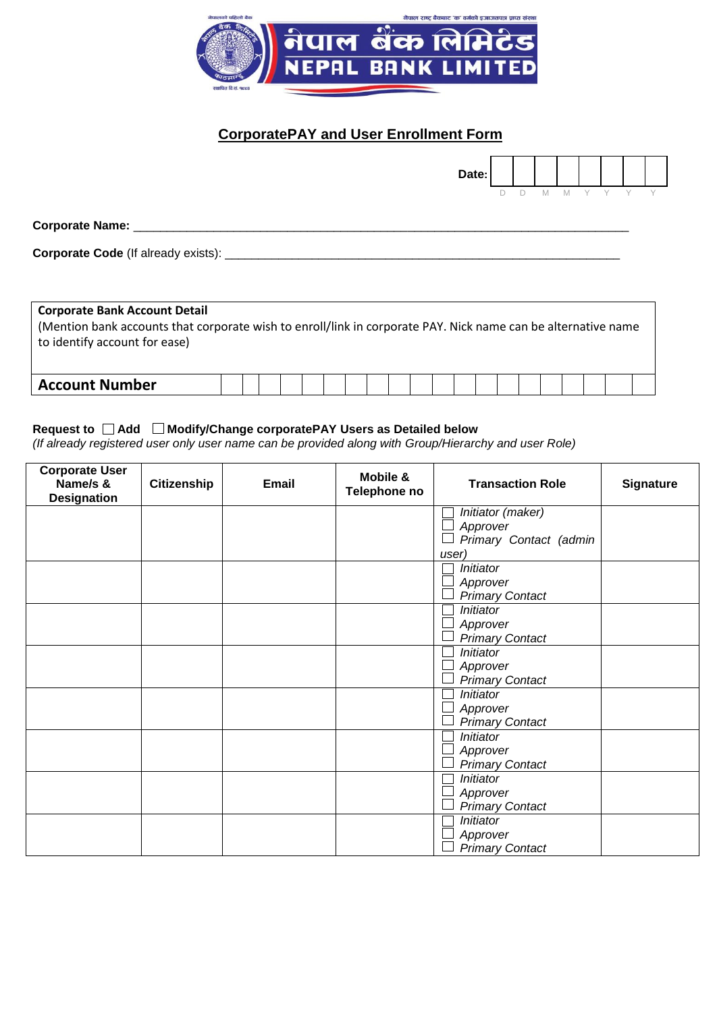

# **CorporatePAY and User Enrollment Form**

|                                               | Date: |    |        |   |             |  |  |
|-----------------------------------------------|-------|----|--------|---|-------------|--|--|
|                                               |       | D. | $\Box$ | M | $M$ $Y$ $Y$ |  |  |
| <b>Corporate Name:</b>                        |       |    |        |   |             |  |  |
| Corporate Code (If already exists): _________ |       |    |        |   |             |  |  |
|                                               |       |    |        |   |             |  |  |

| <b>Corporate Bank Account Detail</b>                                                                          |  |  |  |  |  |  |  |  |  |  |  |  |  |  |
|---------------------------------------------------------------------------------------------------------------|--|--|--|--|--|--|--|--|--|--|--|--|--|--|
| (Mention bank accounts that corporate wish to enroll/link in corporate PAY. Nick name can be alternative name |  |  |  |  |  |  |  |  |  |  |  |  |  |  |
| to identify account for ease)                                                                                 |  |  |  |  |  |  |  |  |  |  |  |  |  |  |
|                                                                                                               |  |  |  |  |  |  |  |  |  |  |  |  |  |  |
|                                                                                                               |  |  |  |  |  |  |  |  |  |  |  |  |  |  |
| <b>Account Number</b>                                                                                         |  |  |  |  |  |  |  |  |  |  |  |  |  |  |

# Request to □ Add □ Modify/Change corporatePAY Users as Detailed below

*(If already registered user only user name can be provided along with Group/Hierarchy and user Role)*

| <b>Corporate User</b><br>Name/s &<br><b>Designation</b> | <b>Citizenship</b> | <b>Email</b> | Mobile &<br>Telephone no | <b>Transaction Role</b> | <b>Signature</b> |
|---------------------------------------------------------|--------------------|--------------|--------------------------|-------------------------|------------------|
|                                                         |                    |              |                          | Initiator (maker)       |                  |
|                                                         |                    |              |                          | Approver                |                  |
|                                                         |                    |              |                          | Primary Contact (admin  |                  |
|                                                         |                    |              |                          | user)                   |                  |
|                                                         |                    |              |                          | Initiator               |                  |
|                                                         |                    |              |                          | Approver                |                  |
|                                                         |                    |              |                          | <b>Primary Contact</b>  |                  |
|                                                         |                    |              |                          | Initiator               |                  |
|                                                         |                    |              |                          | Approver                |                  |
|                                                         |                    |              |                          | <b>Primary Contact</b>  |                  |
|                                                         |                    |              |                          | Initiator               |                  |
|                                                         |                    |              |                          | Approver                |                  |
|                                                         |                    |              |                          | <b>Primary Contact</b>  |                  |
|                                                         |                    |              |                          | Initiator               |                  |
|                                                         |                    |              |                          | Approver                |                  |
|                                                         |                    |              |                          | <b>Primary Contact</b>  |                  |
|                                                         |                    |              |                          | Initiator               |                  |
|                                                         |                    |              |                          | Approver                |                  |
|                                                         |                    |              |                          | <b>Primary Contact</b>  |                  |
|                                                         |                    |              |                          | Initiator               |                  |
|                                                         |                    |              |                          | Approver                |                  |
|                                                         |                    |              |                          | <b>Primary Contact</b>  |                  |
|                                                         |                    |              |                          | Initiator               |                  |
|                                                         |                    |              |                          | Approver                |                  |
|                                                         |                    |              |                          | <b>Primary Contact</b>  |                  |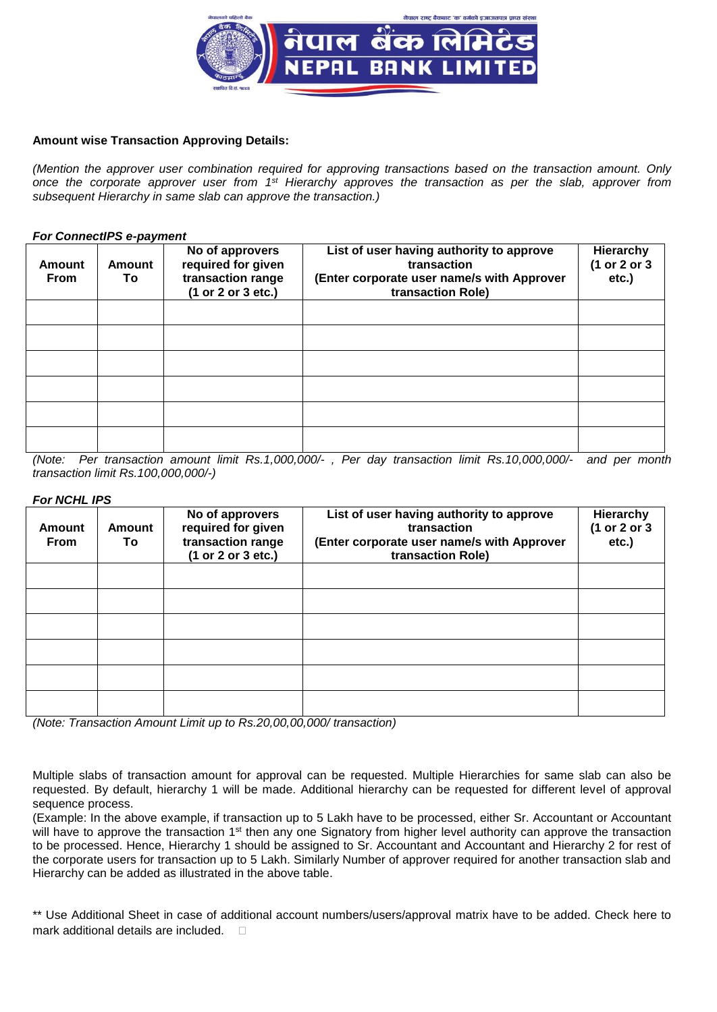

#### **Amount wise Transaction Approving Details:**

*(Mention the approver user combination required for approving transactions based on the transaction amount. Only once the corporate approver user from 1st Hierarchy approves the transaction as per the slab, approver from subsequent Hierarchy in same slab can approve the transaction.)*

#### *For ConnectIPS e-payment*

| <b>Amount</b><br><b>From</b> | <b>Amount</b><br>To | No of approvers<br>required for given<br>transaction range<br>(1 or 2 or 3 etc.) | List of user having authority to approve<br>transaction<br>(Enter corporate user name/s with Approver<br>transaction Role) | Hierarchy<br>(1 or 2 or 3<br>etc.) |
|------------------------------|---------------------|----------------------------------------------------------------------------------|----------------------------------------------------------------------------------------------------------------------------|------------------------------------|
|                              |                     |                                                                                  |                                                                                                                            |                                    |
|                              |                     |                                                                                  |                                                                                                                            |                                    |
|                              |                     |                                                                                  |                                                                                                                            |                                    |
|                              |                     |                                                                                  |                                                                                                                            |                                    |
|                              |                     |                                                                                  |                                                                                                                            |                                    |
|                              |                     |                                                                                  |                                                                                                                            |                                    |

*(Note: Per transaction amount limit Rs.1,000,000/- , Per day transaction limit Rs.10,000,000/- and per month transaction limit Rs.100,000,000/-)*

#### *For NCHL IPS*

| Amount<br><b>From</b> | <b>Amount</b><br>To | No of approvers<br>required for given<br>transaction range<br>(1 or 2 or 3 etc.) | List of user having authority to approve<br>transaction<br>(Enter corporate user name/s with Approver<br>transaction Role) | Hierarchy<br>(1 or 2 or 3<br>$etc.$ ) |
|-----------------------|---------------------|----------------------------------------------------------------------------------|----------------------------------------------------------------------------------------------------------------------------|---------------------------------------|
|                       |                     |                                                                                  |                                                                                                                            |                                       |
|                       |                     |                                                                                  |                                                                                                                            |                                       |
|                       |                     |                                                                                  |                                                                                                                            |                                       |
|                       |                     |                                                                                  |                                                                                                                            |                                       |
|                       |                     |                                                                                  |                                                                                                                            |                                       |
|                       |                     |                                                                                  |                                                                                                                            |                                       |

*(Note: Transaction Amount Limit up to Rs.20,00,00,000/ transaction)*

Multiple slabs of transaction amount for approval can be requested. Multiple Hierarchies for same slab can also be requested. By default, hierarchy 1 will be made. Additional hierarchy can be requested for different level of approval sequence process.

(Example: In the above example, if transaction up to 5 Lakh have to be processed, either Sr. Accountant or Accountant will have to approve the transaction 1<sup>st</sup> then any one Signatory from higher level authority can approve the transaction to be processed. Hence, Hierarchy 1 should be assigned to Sr. Accountant and Accountant and Hierarchy 2 for rest of the corporate users for transaction up to 5 Lakh. Similarly Number of approver required for another transaction slab and Hierarchy can be added as illustrated in the above table.

\*\* Use Additional Sheet in case of additional account numbers/users/approval matrix have to be added. Check here to mark additional details are included. C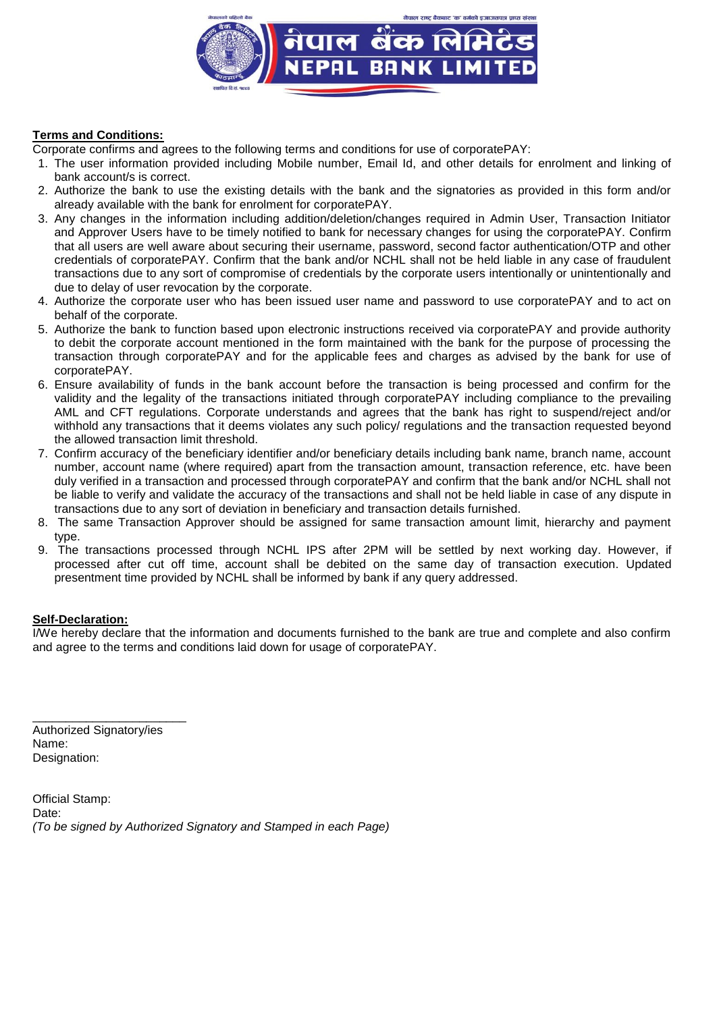

## **Terms and Conditions:**

Corporate confirms and agrees to the following terms and conditions for use of corporatePAY:

- 1. The user information provided including Mobile number, Email Id, and other details for enrolment and linking of bank account/s is correct.
- 2. Authorize the bank to use the existing details with the bank and the signatories as provided in this form and/or already available with the bank for enrolment for corporatePAY.
- 3. Any changes in the information including addition/deletion/changes required in Admin User, Transaction Initiator and Approver Users have to be timely notified to bank for necessary changes for using the corporatePAY. Confirm that all users are well aware about securing their username, password, second factor authentication/OTP and other credentials of corporatePAY. Confirm that the bank and/or NCHL shall not be held liable in any case of fraudulent transactions due to any sort of compromise of credentials by the corporate users intentionally or unintentionally and due to delay of user revocation by the corporate.
- 4. Authorize the corporate user who has been issued user name and password to use corporatePAY and to act on behalf of the corporate.
- 5. Authorize the bank to function based upon electronic instructions received via corporatePAY and provide authority to debit the corporate account mentioned in the form maintained with the bank for the purpose of processing the transaction through corporatePAY and for the applicable fees and charges as advised by the bank for use of corporatePAY.
- 6. Ensure availability of funds in the bank account before the transaction is being processed and confirm for the validity and the legality of the transactions initiated through corporatePAY including compliance to the prevailing AML and CFT regulations. Corporate understands and agrees that the bank has right to suspend/reject and/or withhold any transactions that it deems violates any such policy/ regulations and the transaction requested beyond the allowed transaction limit threshold.
- 7. Confirm accuracy of the beneficiary identifier and/or beneficiary details including bank name, branch name, account number, account name (where required) apart from the transaction amount, transaction reference, etc. have been duly verified in a transaction and processed through corporatePAY and confirm that the bank and/or NCHL shall not be liable to verify and validate the accuracy of the transactions and shall not be held liable in case of any dispute in transactions due to any sort of deviation in beneficiary and transaction details furnished.
- 8. The same Transaction Approver should be assigned for same transaction amount limit, hierarchy and payment type.
- 9. The transactions processed through NCHL IPS after 2PM will be settled by next working day. However, if processed after cut off time, account shall be debited on the same day of transaction execution. Updated presentment time provided by NCHL shall be informed by bank if any query addressed.

#### **Self-Declaration:**

I/We hereby declare that the information and documents furnished to the bank are true and complete and also confirm and agree to the terms and conditions laid down for usage of corporatePAY.

\_\_\_\_\_\_\_\_\_\_\_\_\_\_\_\_\_\_\_\_\_\_\_ Authorized Signatory/ies Name: Designation:

Official Stamp: Date: *(To be signed by Authorized Signatory and Stamped in each Page)*